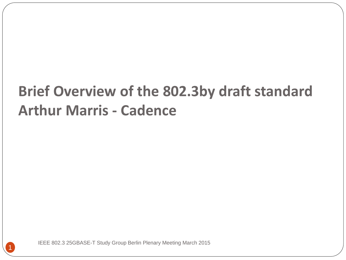#### **Brief Overview of the 802.3by draft standard Arthur Marris - Cadence**

IEEE 802.3 25GBASE-T Study Group Berlin Plenary Meeting March 2015

1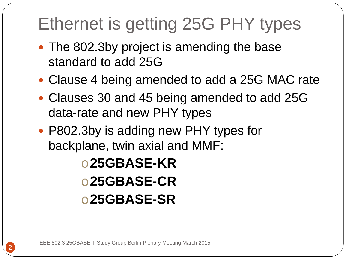#### Ethernet is getting 25G PHY types

- The 802.3by project is amending the base standard to add 25G
- Clause 4 being amended to add a 25G MAC rate
- Clauses 30 and 45 being amended to add 25G data-rate and new PHY types
- P802.3by is adding new PHY types for backplane, twin axial and MMF:

o**25GBASE-KR** o**25GBASE-CR** o**25GBASE-SR**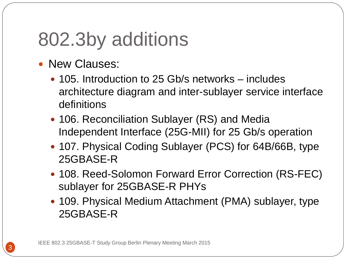## 802.3by additions

- New Clauses:
	- 105. Introduction to 25 Gb/s networks includes architecture diagram and inter-sublayer service interface definitions
	- 106. Reconciliation Sublayer (RS) and Media Independent Interface (25G-MII) for 25 Gb/s operation
	- 107. Physical Coding Sublayer (PCS) for 64B/66B, type 25GBASE-R
	- 108. Reed-Solomon Forward Error Correction (RS-FEC) sublayer for 25GBASE-R PHYs
	- 109. Physical Medium Attachment (PMA) sublayer, type 25GBASE-R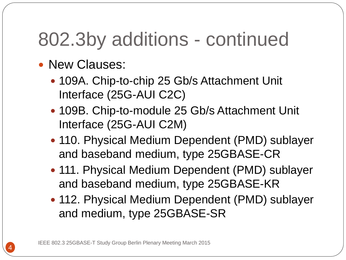## 802.3by additions - continued

- New Clauses:
	- 109A. Chip-to-chip 25 Gb/s Attachment Unit Interface (25G-AUI C2C)
	- 109B. Chip-to-module 25 Gb/s Attachment Unit Interface (25G-AUI C2M)
	- 110. Physical Medium Dependent (PMD) sublayer and baseband medium, type 25GBASE-CR
	- 111. Physical Medium Dependent (PMD) sublayer and baseband medium, type 25GBASE-KR
	- 112. Physical Medium Dependent (PMD) sublayer and medium, type 25GBASE-SR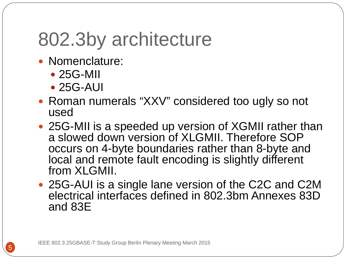## 802.3by architecture

- Nomenclature:
	- 25G-MII
	- 25G-AUI
- Roman numerals "XXV" considered too ugly so not used
- 25G-MII is a speeded up version of XGMII rather than a slowed down version of XLGMII. Therefore SOP occurs on 4-byte boundaries rather than 8-byte and local and remote fault encoding is slightly different from XLGMII.
- 25G-AUI is a single lane version of the C2C and C2M electrical interfaces defined in 802.3bm Annexes 83D and 83E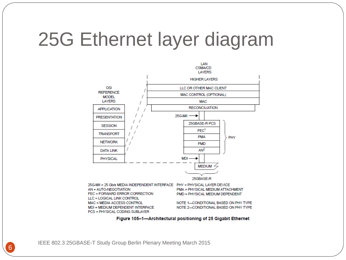#### 25G Ethernet layer diagram



Figure 105-1-Architectural positioning of 25 Gigabit Ethernet

IEEE 802.3 25GBASE-T Study Group Berlin Plenary Meeting March 2015 6